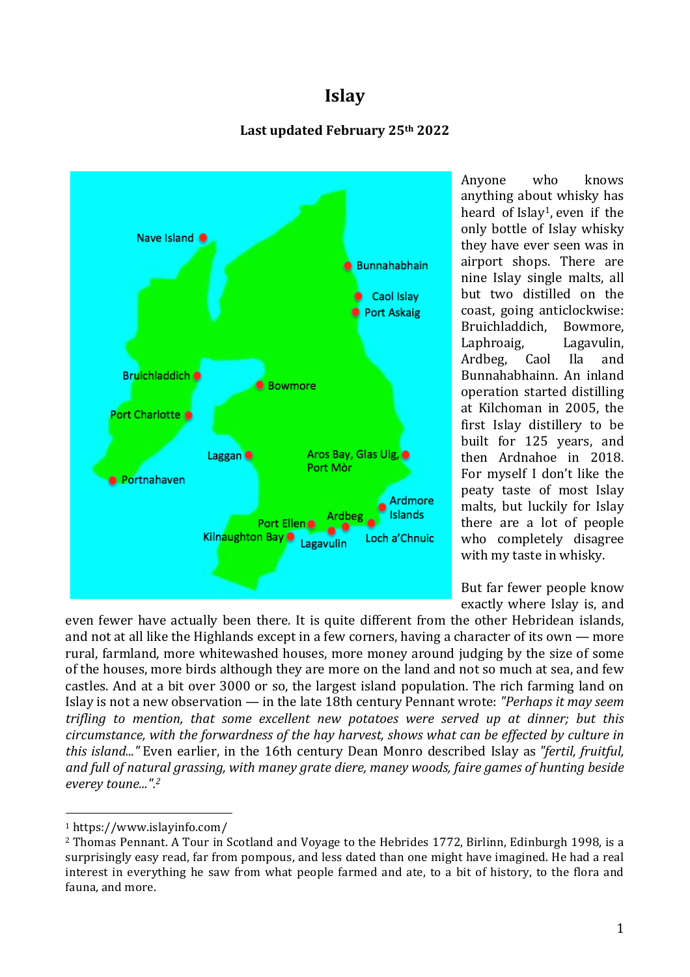# **Islay**

# Last updated February 25<sup>th</sup> 2022



Anyone who knows anything about whisky has heard of Islay1, even if the only bottle of Islay whisky they have ever seen was in airport shops. There are nine Islay single malts, all but two distilled on the coast, going anticlockwise: Bruichladdich, Bowmore, Laphroaig, Lagavulin, Ardbeg, Caol Ila and Bunnahabhainn. An inland operation started distilling at Kilchoman in 2005, the first Islay distillery to be built for 125 years, and then Ardnahoe in 2018. For myself I don't like the peaty taste of most Islay malts, but luckily for Islay there are a lot of people who completely disagree with my taste in whisky.

But far fewer people know exactly where Islay is, and

even fewer have actually been there. It is quite different from the other Hebridean islands, and not at all like the Highlands except in a few corners, having a character of its own — more rural, farmland, more whitewashed houses, more money around judging by the size of some of the houses, more birds although they are more on the land and not so much at sea, and few castles. And at a bit over 3000 or so, the largest island population. The rich farming land on Islay is not a new observation — in the late 18th century Pennant wrote: *"Perhaps it may seem trifling to mention, that some excellent new potatoes were served up at dinner; but this circumstance, with the forwardness of the hay harvest, shows what can be effected by culture in this island..."* Even earlier, in the 16th century Dean Monro described Islay as *"fertil, fruitful, and full of natural grassing, with maney grate diere, maney woods, faire games of hunting beside everey toune...".2*

 <sup>1</sup> https://www.islayinfo.com/

<sup>2</sup> Thomas Pennant. A Tour in Scotland and Voyage to the Hebrides 1772, Birlinn, Edinburgh 1998, is a surprisingly easy read, far from pompous, and less dated than one might have imagined. He had a real interest in everything he saw from what people farmed and ate, to a bit of history, to the flora and fauna, and more.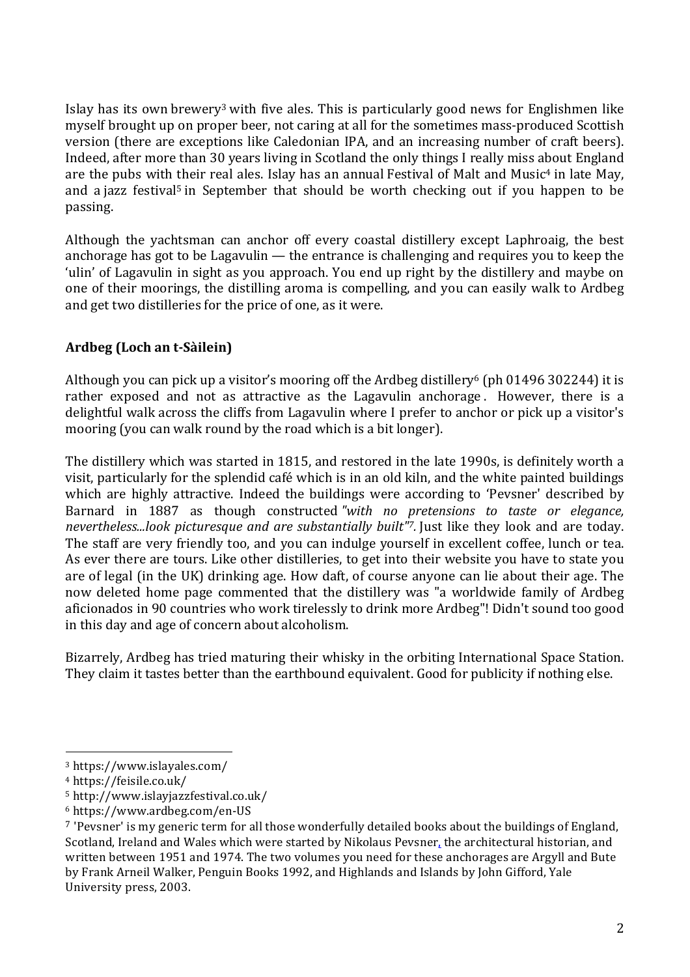Islay has its own brewery3 with five ales. This is particularly good news for Englishmen like myself brought up on proper beer, not caring at all for the sometimes mass-produced Scottish version (there are exceptions like Caledonian IPA, and an increasing number of craft beers). Indeed, after more than 30 years living in Scotland the only things I really miss about England are the pubs with their real ales. Islay has an annual Festival of Malt and Music<sup>4</sup> in late May, and a jazz festival<sup>5</sup> in September that should be worth checking out if you happen to be passing.

Although the yachtsman can anchor off every coastal distillery except Laphroaig, the best anchorage has got to be Lagavulin — the entrance is challenging and requires you to keep the 'ulin' of Lagavulin in sight as you approach. You end up right by the distillery and maybe on one of their moorings, the distilling aroma is compelling, and you can easily walk to Ardbeg and get two distilleries for the price of one, as it were.

# **Ardbeg (Loch an t-Sàilein)**

Although you can pick up a visitor's mooring off the Ardbeg distillery<sup>6</sup> (ph 01496 302244) it is rather exposed and not as attractive as the Lagavulin anchorage . However, there is a delightful walk across the cliffs from Lagavulin where I prefer to anchor or pick up a visitor's mooring (you can walk round by the road which is a bit longer).

The distillery which was started in 1815, and restored in the late 1990s, is definitely worth a visit, particularly for the splendid café which is in an old kiln, and the white painted buildings which are highly attractive. Indeed the buildings were according to 'Pevsner' described by Barnard in 1887 as though constructed *"with no pretensions to taste or elegance, nevertheless...look picturesque and are substantially built"7.* Just like they look and are today. The staff are very friendly too, and you can indulge yourself in excellent coffee, lunch or tea. As ever there are tours. Like other distilleries, to get into their website you have to state you are of legal (in the UK) drinking age. How daft, of course anyone can lie about their age. The now deleted home page commented that the distillery was "a worldwide family of Ardbeg aficionados in 90 countries who work tirelessly to drink more Ardbeg"! Didn't sound too good in this day and age of concern about alcoholism.

Bizarrely, Ardbeg has tried maturing their whisky in the orbiting International Space Station. They claim it tastes better than the earthbound equivalent. Good for publicity if nothing else.

 <sup>3</sup> https://www.islayales.com/

<sup>4</sup> https://feisile.co.uk/

<sup>5</sup> http://www.islayjazzfestival.co.uk/

<sup>6</sup> https://www.ardbeg.com/en-US

<sup>7</sup> 'Pevsner' is my generic term for all those wonderfully detailed books about the buildings of England, Scotland, Ireland and Wales which were started by Nikolaus Pevsner, the architectural historian, and written between 1951 and 1974. The two volumes you need for these anchorages are Argyll and Bute by Frank Arneil Walker, Penguin Books 1992, and Highlands and Islands by John Gifford, Yale University press, 2003.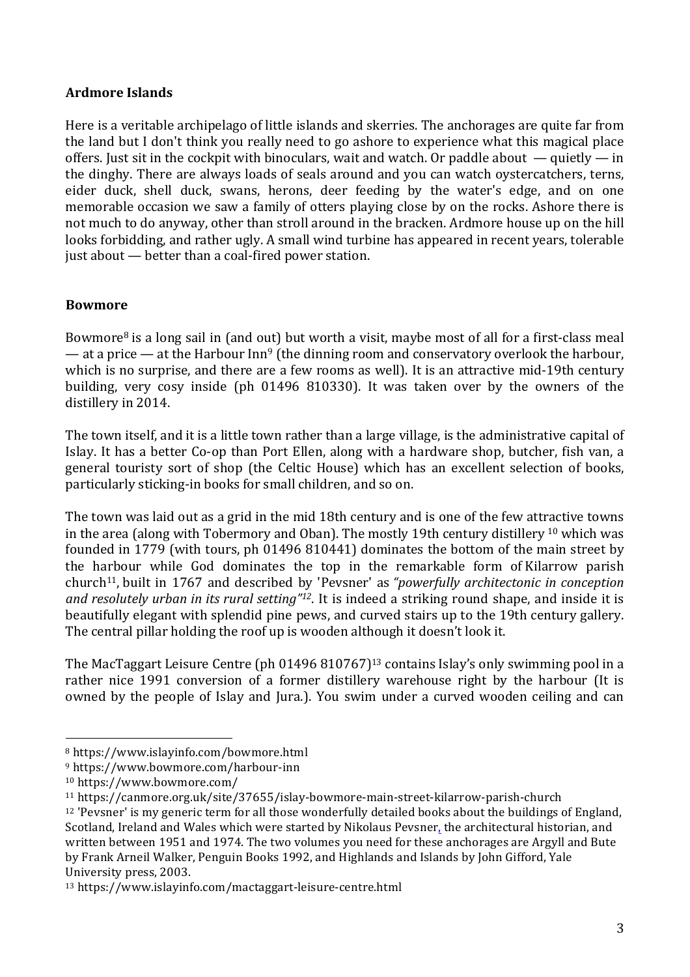## **Ardmore Islands**

Here is a veritable archipelago of little islands and skerries. The anchorages are quite far from the land but I don't think you really need to go ashore to experience what this magical place offers. Just sit in the cockpit with binoculars, wait and watch. Or paddle about  $-$  quietly  $-$  in the dinghy. There are always loads of seals around and you can watch oystercatchers, terns, eider duck, shell duck, swans, herons, deer feeding by the water's edge, and on one memorable occasion we saw a family of otters playing close by on the rocks. Ashore there is not much to do anyway, other than stroll around in the bracken. Ardmore house up on the hill looks forbidding, and rather ugly. A small wind turbine has appeared in recent years, tolerable just about — better than a coal-fired power station.

#### **Bowmore**

Bowmore8 is a long sail in (and out) but worth a visit, maybe most of all for a first-class meal — at a price — at the Harbour Inn<sup>9</sup> (the dinning room and conservatory overlook the harbour, which is no surprise, and there are a few rooms as well). It is an attractive mid-19th century building, very cosy inside (ph 01496 810330). It was taken over by the owners of the distillery in 2014.

The town itself, and it is a little town rather than a large village, is the administrative capital of Islay. It has a better Co-op than Port Ellen, along with a hardware shop, butcher, fish van, a general touristy sort of shop (the Celtic House) which has an excellent selection of books, particularly sticking-in books for small children, and so on.

The town was laid out as a grid in the mid 18th century and is one of the few attractive towns in the area (along with Tobermory and Oban). The mostly 19th century distillery <sup>10</sup> which was founded in 1779 (with tours, ph 01496 810441) dominates the bottom of the main street by the harbour while God dominates the top in the remarkable form of Kilarrow parish church11, built in 1767 and described by 'Pevsner' as *"powerfully architectonic in conception and resolutely urban in its rural setting"12*. It is indeed a striking round shape, and inside it is beautifully elegant with splendid pine pews, and curved stairs up to the 19th century gallery. The central pillar holding the roof up is wooden although it doesn't look it.

The MacTaggart Leisure Centre (ph 01496 810767)13 contains Islay's only swimming pool in a rather nice 1991 conversion of a former distillery warehouse right by the harbour (It is owned by the people of Islay and Jura.). You swim under a curved wooden ceiling and can

<sup>8</sup> https://www.islayinfo.com/bowmore.html

<sup>9</sup> https://www.bowmore.com/harbour-inn

<sup>10</sup> https://www.bowmore.com/

<sup>11</sup> https://canmore.org.uk/site/37655/islay-bowmore-main-street-kilarrow-parish-church

<sup>12</sup> 'Pevsner' is my generic term for all those wonderfully detailed books about the buildings of England, Scotland, Ireland and Wales which were started by Nikolaus Pevsner, the architectural historian, and written between 1951 and 1974. The two volumes you need for these anchorages are Argyll and Bute by Frank Arneil Walker, Penguin Books 1992, and Highlands and Islands by John Gifford, Yale University press, 2003.

<sup>13</sup> https://www.islayinfo.com/mactaggart-leisure-centre.html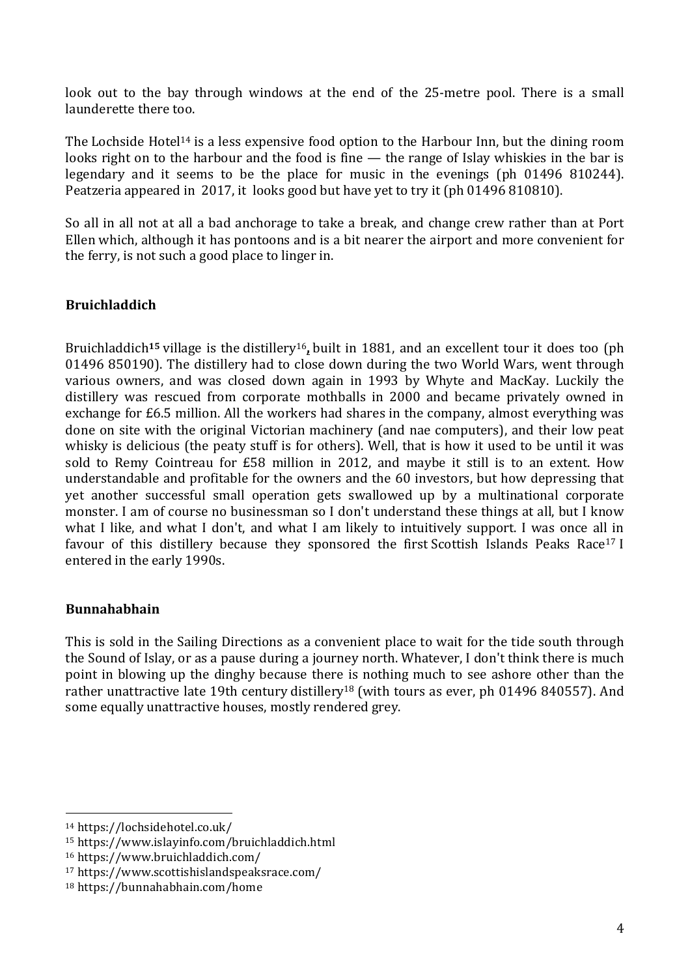look out to the bay through windows at the end of the 25-metre pool. There is a small launderette there too.

The Lochside Hotel<sup>14</sup> is a less expensive food option to the Harbour Inn, but the dining room looks right on to the harbour and the food is fine — the range of Islay whiskies in the bar is legendary and it seems to be the place for music in the evenings (ph 01496 810244). Peatzeria appeared in 2017, it looks good but have yet to try it (ph 01496 810810).

So all in all not at all a bad anchorage to take a break, and change crew rather than at Port Ellen which, although it has pontoons and is a bit nearer the airport and more convenient for the ferry, is not such a good place to linger in.

#### **Bruichladdich**

Bruichladdich**<sup>15</sup>** village is the distillery16**,** built in 1881, and an excellent tour it does too (ph 01496 850190). The distillery had to close down during the two World Wars, went through various owners, and was closed down again in 1993 by Whyte and MacKay. Luckily the distillery was rescued from corporate mothballs in 2000 and became privately owned in exchange for £6.5 million. All the workers had shares in the company, almost everything was done on site with the original Victorian machinery (and nae computers), and their low peat whisky is delicious (the peaty stuff is for others). Well, that is how it used to be until it was sold to Remy Cointreau for £58 million in 2012, and maybe it still is to an extent. How understandable and profitable for the owners and the 60 investors, but how depressing that yet another successful small operation gets swallowed up by a multinational corporate monster. I am of course no businessman so I don't understand these things at all, but I know what I like, and what I don't, and what I am likely to intuitively support. I was once all in favour of this distillery because they sponsored the first Scottish Islands Peaks Race<sup>17</sup> I entered in the early 1990s.

#### **Bunnahabhain**

This is sold in the Sailing Directions as a convenient place to wait for the tide south through the Sound of Islay, or as a pause during a journey north. Whatever, I don't think there is much point in blowing up the dinghy because there is nothing much to see ashore other than the rather unattractive late 19th century distillery<sup>18</sup> (with tours as ever, ph 01496 840557). And some equally unattractive houses, mostly rendered grey.

 <sup>14</sup> https://lochsidehotel.co.uk/

<sup>15</sup> https://www.islayinfo.com/bruichladdich.html

<sup>16</sup> https://www.bruichladdich.com/

<sup>17</sup> https://www.scottishislandspeaksrace.com/

<sup>18</sup> https://bunnahabhain.com/home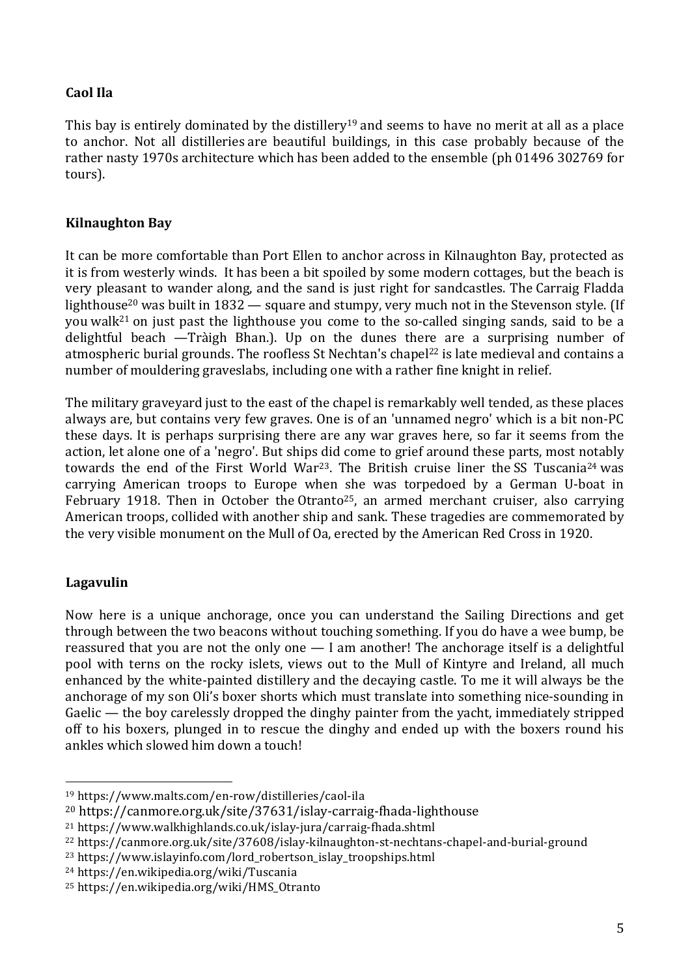# **Caol Ila**

This bay is entirely dominated by the distillery<sup>19</sup> and seems to have no merit at all as a place to anchor. Not all distilleries are beautiful buildings, in this case probably because of the rather nasty 1970s architecture which has been added to the ensemble (ph 01496 302769 for tours).

## **Kilnaughton Bay**

It can be more comfortable than Port Ellen to anchor across in Kilnaughton Bay, protected as it is from westerly winds. It has been a bit spoiled by some modern cottages, but the beach is very pleasant to wander along, and the sand is just right for sandcastles. The Carraig Fladda lighthouse<sup>20</sup> was built in 1832 — square and stumpy, very much not in the Stevenson style. (If you walk21 on just past the lighthouse you come to the so-called singing sands, said to be a delightful beach —Tràigh Bhan.). Up on the dunes there are a surprising number of atmospheric burial grounds. The roofless St Nechtan's chapel<sup>22</sup> is late medieval and contains a number of mouldering graveslabs, including one with a rather fine knight in relief.

The military graveyard just to the east of the chapel is remarkably well tended, as these places always are, but contains very few graves. One is of an 'unnamed negro' which is a bit non-PC these days. It is perhaps surprising there are any war graves here, so far it seems from the action, let alone one of a 'negro'. But ships did come to grief around these parts, most notably towards the end of the First World War<sup>23</sup>. The British cruise liner the SS Tuscania<sup>24</sup> was carrying American troops to Europe when she was torpedoed by a German U-boat in February 1918. Then in October the Otranto<sup>25</sup>, an armed merchant cruiser, also carrying American troops, collided with another ship and sank. These tragedies are commemorated by the very visible monument on the Mull of Oa, erected by the American Red Cross in 1920.

# **Lagavulin**

Now here is a unique anchorage, once you can understand the Sailing Directions and get through between the two beacons without touching something. If you do have a wee bump, be reassured that you are not the only one — I am another! The anchorage itself is a delightful pool with terns on the rocky islets, views out to the Mull of Kintyre and Ireland, all much enhanced by the white-painted distillery and the decaying castle. To me it will always be the anchorage of my son Oli's boxer shorts which must translate into something nice-sounding in Gaelic — the boy carelessly dropped the dinghy painter from the yacht, immediately stripped off to his boxers, plunged in to rescue the dinghy and ended up with the boxers round his ankles which slowed him down a touch!

<sup>19</sup> https://www.malts.com/en-row/distilleries/caol-ila

<sup>20</sup> https://canmore.org.uk/site/37631/islay-carraig-fhada-lighthouse

<sup>21</sup> https://www.walkhighlands.co.uk/islay-jura/carraig-fhada.shtml

<sup>22</sup> https://canmore.org.uk/site/37608/islay-kilnaughton-st-nechtans-chapel-and-burial-ground

<sup>23</sup> https://www.islayinfo.com/lord\_robertson\_islay\_troopships.html

<sup>24</sup> https://en.wikipedia.org/wiki/Tuscania

<sup>25</sup> https://en.wikipedia.org/wiki/HMS\_Otranto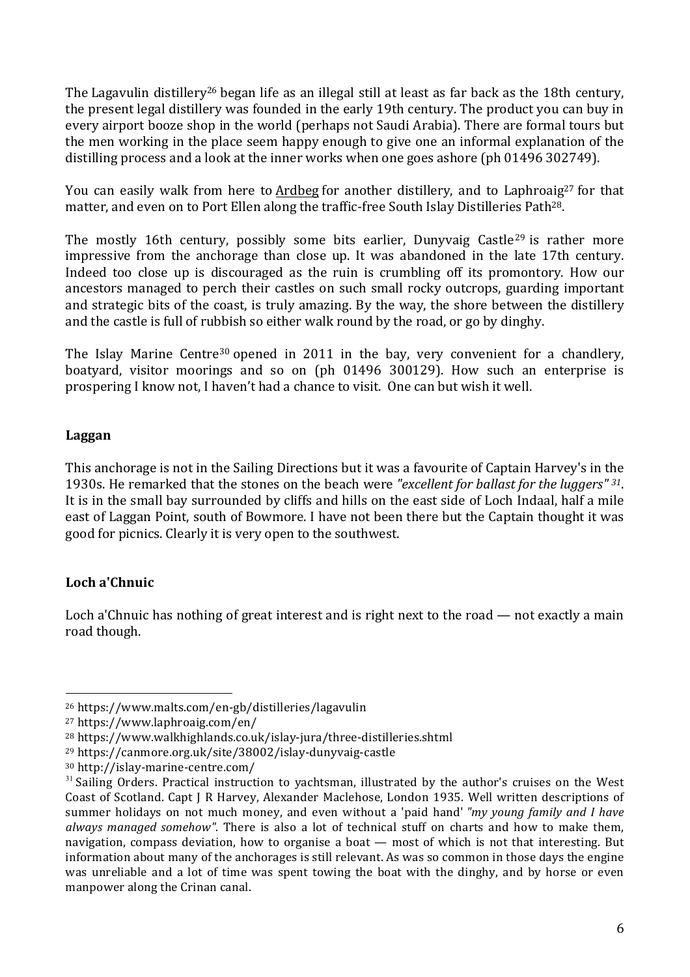The Lagavulin distillery<sup>26</sup> began life as an illegal still at least as far back as the 18th century, the present legal distillery was founded in the early 19th century. The product you can buy in every airport booze shop in the world (perhaps not Saudi Arabia). There are formal tours but the men working in the place seem happy enough to give one an informal explanation of the distilling process and a look at the inner works when one goes ashore (ph 01496 302749).

You can easily walk from here to Ardbeg for another distillery, and to Laphroaig<sup>27</sup> for that matter, and even on to Port Ellen along the traffic-free South Islay Distilleries Path28.

The mostly 16th century, possibly some bits earlier, Dunyvaig Castle<sup>29</sup> is rather more impressive from the anchorage than close up. It was abandoned in the late 17th century. Indeed too close up is discouraged as the ruin is crumbling off its promontory. How our ancestors managed to perch their castles on such small rocky outcrops, guarding important and strategic bits of the coast, is truly amazing. By the way, the shore between the distillery and the castle is full of rubbish so either walk round by the road, or go by dinghy.

The Islay Marine Centre<sup>30</sup> opened in 2011 in the bay, very convenient for a chandlery, boatyard, visitor moorings and so on (ph 01496 300129). How such an enterprise is prospering I know not, I haven't had a chance to visit. One can but wish it well.

#### **Laggan**

This anchorage is not in the Sailing Directions but it was a favourite of Captain Harvey's in the 1930s. He remarked that the stones on the beach were *"excellent for ballast for the luggers" <sup>31</sup>*. It is in the small bay surrounded by cliffs and hills on the east side of Loch Indaal, half a mile east of Laggan Point, south of Bowmore. I have not been there but the Captain thought it was good for picnics. Clearly it is very open to the southwest.

# **Loch a'Chnuic**

Loch a'Chnuic has nothing of great interest and is right next to the road — not exactly a main road though.

<sup>26</sup> https://www.malts.com/en-gb/distilleries/lagavulin

<sup>27</sup> https://www.laphroaig.com/en/

<sup>28</sup> https://www.walkhighlands.co.uk/islay-jura/three-distilleries.shtml

<sup>29</sup> https://canmore.org.uk/site/38002/islay-dunyvaig-castle

<sup>30</sup> http://islay-marine-centre.com/

<sup>&</sup>lt;sup>31</sup> Sailing Orders. Practical instruction to yachtsman, illustrated by the author's cruises on the West Coast of Scotland. Capt J R Harvey, Alexander Maclehose, London 1935. Well written descriptions of summer holidays on not much money, and even without a 'paid hand' *"my young family and I have always managed somehow"*. There is also a lot of technical stuff on charts and how to make them, navigation, compass deviation, how to organise a boat — most of which is not that interesting. But information about many of the anchorages is still relevant. As was so common in those days the engine was unreliable and a lot of time was spent towing the boat with the dinghy, and by horse or even manpower along the Crinan canal.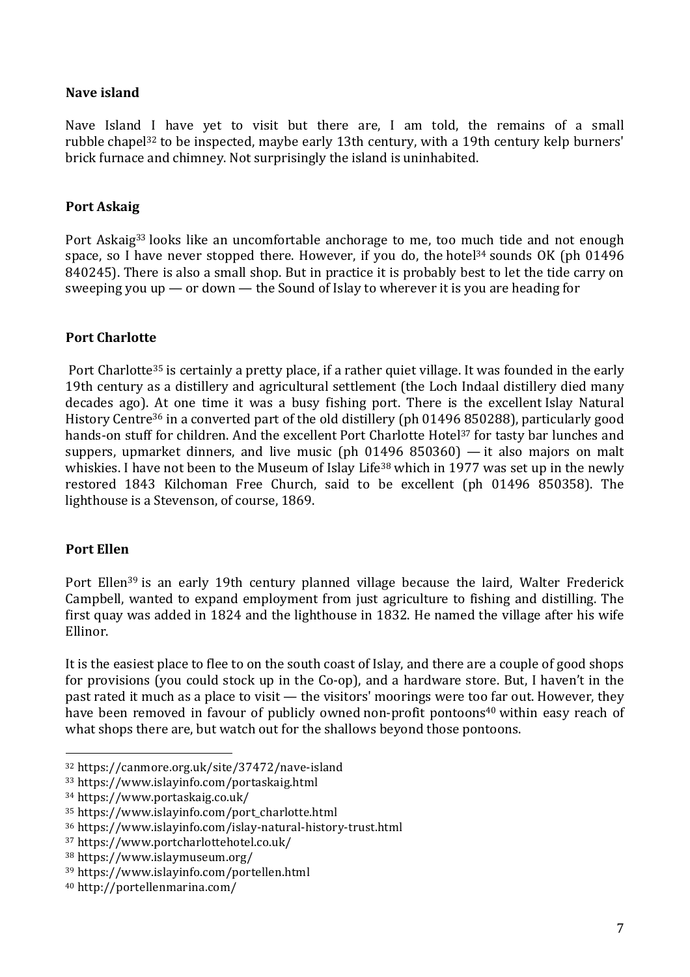## **Nave island**

Nave Island I have yet to visit but there are, I am told, the remains of a small rubble chapel32 to be inspected, maybe early 13th century, with a 19th century kelp burners' brick furnace and chimney. Not surprisingly the island is uninhabited.

#### **Port Askaig**

Port Askaig<sup>33</sup> looks like an uncomfortable anchorage to me, too much tide and not enough space, so I have never stopped there. However, if you do, the hotel<sup>34</sup> sounds OK (ph 01496) 840245). There is also a small shop. But in practice it is probably best to let the tide carry on sweeping you up — or down — the Sound of Islay to wherever it is you are heading for

# **Port Charlotte**

Port Charlotte<sup>35</sup> is certainly a pretty place, if a rather quiet village. It was founded in the early 19th century as a distillery and agricultural settlement (the Loch Indaal distillery died many decades ago). At one time it was a busy fishing port. There is the excellent Islay Natural History Centre<sup>36</sup> in a converted part of the old distillery (ph 01496 850288), particularly good hands-on stuff for children. And the excellent Port Charlotte Hotel<sup>37</sup> for tasty bar lunches and suppers, upmarket dinners, and live music (ph 01496 850360) — it also majors on malt whiskies. I have not been to the Museum of Islay Life<sup>38</sup> which in 1977 was set up in the newly restored 1843 Kilchoman Free Church, said to be excellent (ph 01496 850358). The lighthouse is a Stevenson, of course, 1869.

# **Port Ellen**

Port Ellen<sup>39</sup> is an early 19th century planned village because the laird, Walter Frederick Campbell, wanted to expand employment from just agriculture to fishing and distilling. The first quay was added in 1824 and the lighthouse in 1832. He named the village after his wife Ellinor.

It is the easiest place to flee to on the south coast of Islay, and there are a couple of good shops for provisions (you could stock up in the Co-op), and a hardware store. But, I haven't in the past rated it much as a place to visit — the visitors' moorings were too far out. However, they have been removed in favour of publicly owned non-profit pontoons<sup>40</sup> within easy reach of what shops there are, but watch out for the shallows beyond those pontoons.

<sup>32</sup> https://canmore.org.uk/site/37472/nave-island

<sup>33</sup> https://www.islayinfo.com/portaskaig.html

<sup>34</sup> https://www.portaskaig.co.uk/

<sup>35</sup> https://www.islayinfo.com/port\_charlotte.html

<sup>36</sup> https://www.islayinfo.com/islay-natural-history-trust.html

<sup>37</sup> https://www.portcharlottehotel.co.uk/

<sup>38</sup> https://www.islaymuseum.org/

<sup>39</sup> https://www.islayinfo.com/portellen.html

<sup>40</sup> http://portellenmarina.com/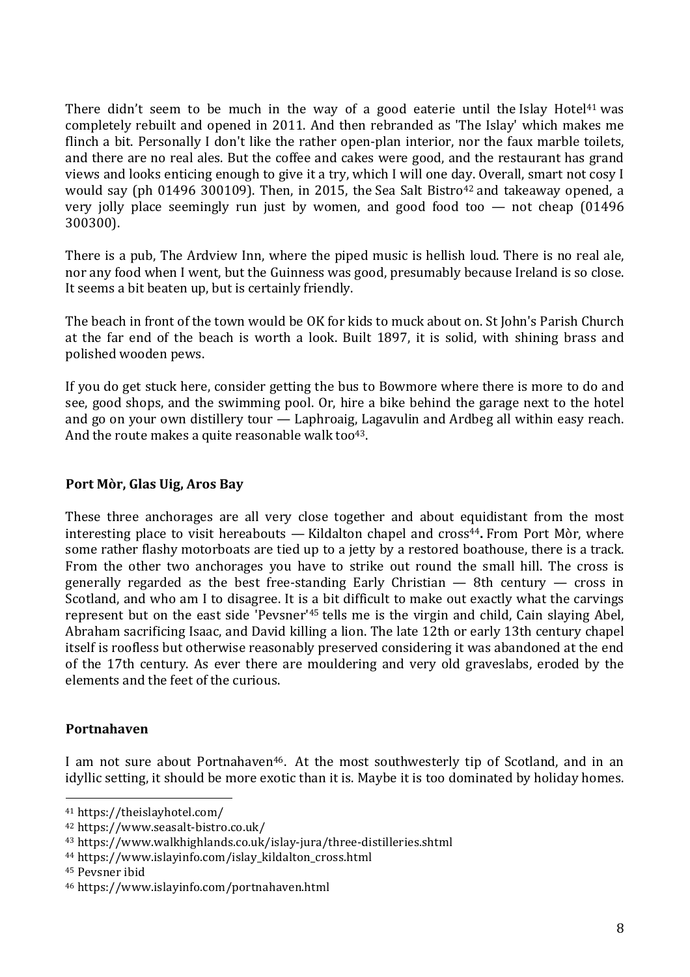There didn't seem to be much in the way of a good eaterie until the Islay Hotel<sup>41</sup> was completely rebuilt and opened in 2011. And then rebranded as 'The Islay' which makes me flinch a bit. Personally I don't like the rather open-plan interior, nor the faux marble toilets, and there are no real ales. But the coffee and cakes were good, and the restaurant has grand views and looks enticing enough to give it a try, which I will one day. Overall, smart not cosy I would say (ph 01496 300109). Then, in 2015, the Sea Salt Bistro<sup>42</sup> and takeaway opened, a very jolly place seemingly run just by women, and good food too — not cheap (01496 300300).

There is a pub, The Ardview Inn, where the piped music is hellish loud. There is no real ale, nor any food when I went, but the Guinness was good, presumably because Ireland is so close. It seems a bit beaten up, but is certainly friendly.

The beach in front of the town would be OK for kids to muck about on. St John's Parish Church at the far end of the beach is worth a look. Built 1897, it is solid, with shining brass and polished wooden pews.

If you do get stuck here, consider getting the bus to Bowmore where there is more to do and see, good shops, and the swimming pool. Or, hire a bike behind the garage next to the hotel and go on your own distillery tour — Laphroaig, Lagavulin and Ardbeg all within easy reach. And the route makes a quite reasonable walk too $43$ .

#### **Port Mòr, Glas Uig, Aros Bay**

These three anchorages are all very close together and about equidistant from the most interesting place to visit hereabouts — Kildalton chapel and cross<sup>44</sup>. From Port Mòr, where some rather flashy motorboats are tied up to a jetty by a restored boathouse, there is a track. From the other two anchorages you have to strike out round the small hill. The cross is generally regarded as the best free-standing Early Christian — 8th century — cross in Scotland, and who am I to disagree. It is a bit difficult to make out exactly what the carvings represent but on the east side 'Pevsner'45 tells me is the virgin and child, Cain slaying Abel, Abraham sacrificing Isaac, and David killing a lion. The late 12th or early 13th century chapel itself is roofless but otherwise reasonably preserved considering it was abandoned at the end of the 17th century. As ever there are mouldering and very old graveslabs, eroded by the elements and the feet of the curious.

#### **Portnahaven**

I am not sure about Portnahaven<sup>46</sup>. At the most southwesterly tip of Scotland, and in an idyllic setting, it should be more exotic than it is. Maybe it is too dominated by holiday homes.

 <sup>41</sup> https://theislayhotel.com/

<sup>42</sup> https://www.seasalt-bistro.co.uk/

<sup>43</sup> https://www.walkhighlands.co.uk/islay-jura/three-distilleries.shtml

<sup>44</sup> https://www.islayinfo.com/islay\_kildalton\_cross.html

<sup>45</sup> Pevsner ibid

<sup>46</sup> https://www.islayinfo.com/portnahaven.html